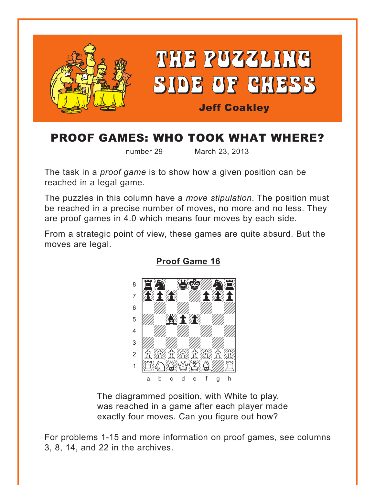<span id="page-0-0"></span>

## **PROOF GAMES: WHO TOOK WHAT WHERE?**

number 29

March 23, 2013

The task in a *proof game* is to show how a given position can be reached in a legal game.

The puzzles in this column have a move stipulation. The position must be reached in a precise number of moves, no more and no less. They are proof games in 4.0 which means four moves by each side.

From a strategic point of view, these games are quite absurd. But the moves are legal.



**Proof Game 16** 

The diagrammed position, with White to play, was reached in a game after each player made exactly four moves. Can you figure out how?

For problems 1-15 and more information on proof games, see columns 3, 8, 14, and 22 in the archives.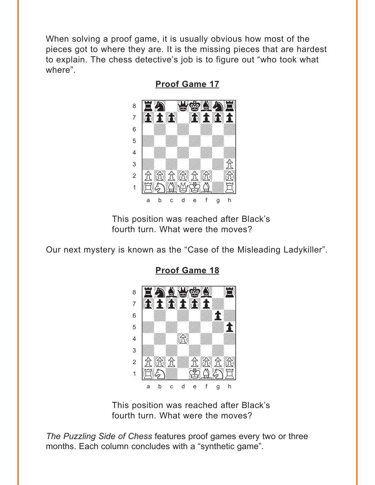<span id="page-1-0"></span>When solving a proof game, it is usually obvious how most of the pieces got to where they are. It is the missing pieces that are hardest to explain. The chess detective's job is to figure out "who took what where".



**Proof Game 17** 

This position was reached after Black's fourth turn. What were the moves?

Our next mystery is known as the "Case of the Misleading Ladykiller".



**Proof Game 18** 

This position was reached after Black's fourth turn. What were the moves?

The Puzzling Side of Chess features proof games every two or three months. Each column concludes with a "synthetic game".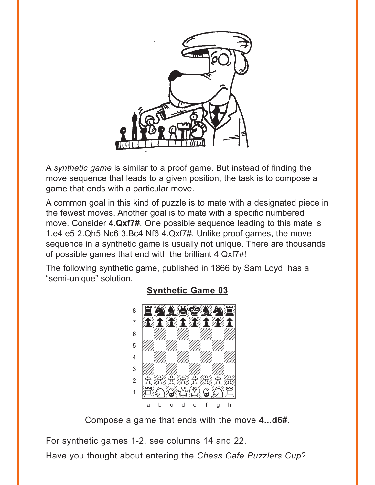<span id="page-2-0"></span>

A synthetic game is similar to a proof game. But instead of finding the move sequence that leads to a given position, the task is to compose a game that ends with a particular move.

A common goal in this kind of puzzle is to mate with a designated piece in the fewest moves. Another goal is to mate with a specific numbered move. Consider 4.Qxf7#. One possible sequence leading to this mate is 1.e4 e5 2.Qh5 Nc6 3.Bc4 Nf6 4.Qxf7#. Unlike proof games, the move sequence in a synthetic game is usually not unique. There are thousands of possible games that end with the brilliant 4.Qxf7#!

The following synthetic game, published in 1866 by Sam Loyd, has a "semi-unique" solution.



## **Synthetic Game 03**

Compose a game that ends with the move 4...d6#.

For synthetic games 1-2, see columns 14 and 22.

Have you thought about entering the Chess Cafe Puzzlers Cup?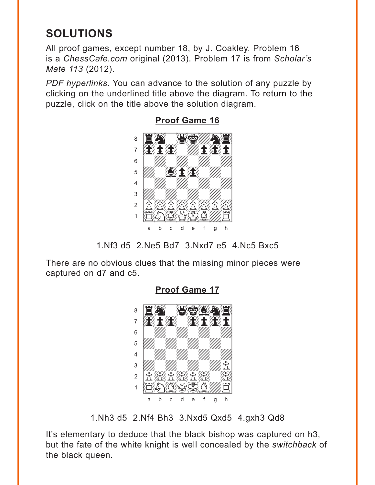## <span id="page-3-0"></span>**SOLUTIONS**

All proof games, except number 18, by J. Coakley. Problem 16 is a ChessCafe.com original (2013). Problem 17 is from Scholar's Mate 113 (2012).

PDF hyperlinks. You can advance to the solution of any puzzle by clicking on the underlined title above the diagram. To return to the puzzle, click on the title above the solution diagram.



**Proof Game 16** 

There are no obvious clues that the missing minor pieces were captured on d7 and c5.



**Proof Game 17** 

1. Nh<sub>3</sub> d<sub>5</sub> 2. Nf4 Bh<sub>3</sub> 3. Nxd<sub>5</sub> Qxd<sub>5</sub> 4. gxh<sub>3</sub> Qd<sub>8</sub>

It's elementary to deduce that the black bishop was captured on h3, but the fate of the white knight is well concealed by the switchback of the black queen.

<sup>1.</sup> Nf3 d5 2. Ne5 Bd7 3. Nxd7 e5 4. Nc5 Bxc5